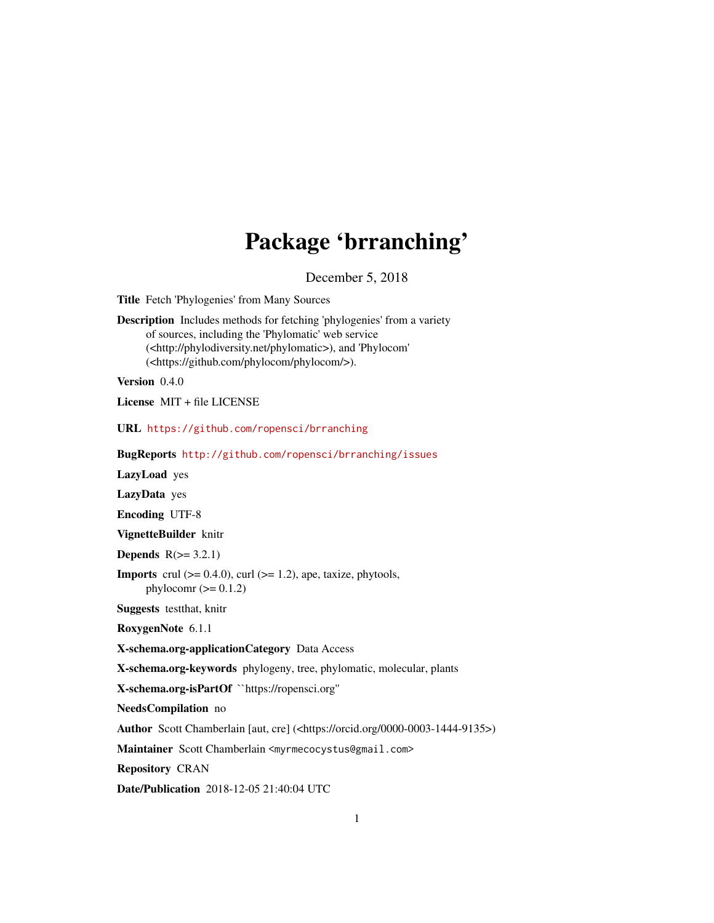## Package 'brranching'

December 5, 2018

<span id="page-0-0"></span>Title Fetch 'Phylogenies' from Many Sources

Description Includes methods for fetching 'phylogenies' from a variety of sources, including the 'Phylomatic' web service (<http://phylodiversity.net/phylomatic>), and 'Phylocom' (<https://github.com/phylocom/phylocom/>).

Version 0.4.0

License MIT + file LICENSE

URL <https://github.com/ropensci/brranching>

BugReports <http://github.com/ropensci/brranching/issues>

LazyLoad yes

LazyData yes

Encoding UTF-8

VignetteBuilder knitr

**Depends**  $R(>= 3.2.1)$ 

**Imports** crul  $(>= 0.4.0)$ , curl  $(>= 1.2)$ , ape, taxize, phytools, phylocomr  $(>= 0.1.2)$ 

Suggests testthat, knitr

RoxygenNote 6.1.1

X-schema.org-applicationCategory Data Access

X-schema.org-keywords phylogeny, tree, phylomatic, molecular, plants

X-schema.org-isPartOf ``https://ropensci.org''

NeedsCompilation no

Author Scott Chamberlain [aut, cre] (<https://orcid.org/0000-0003-1444-9135>)

Maintainer Scott Chamberlain <myrmecocystus@gmail.com>

Repository CRAN

Date/Publication 2018-12-05 21:40:04 UTC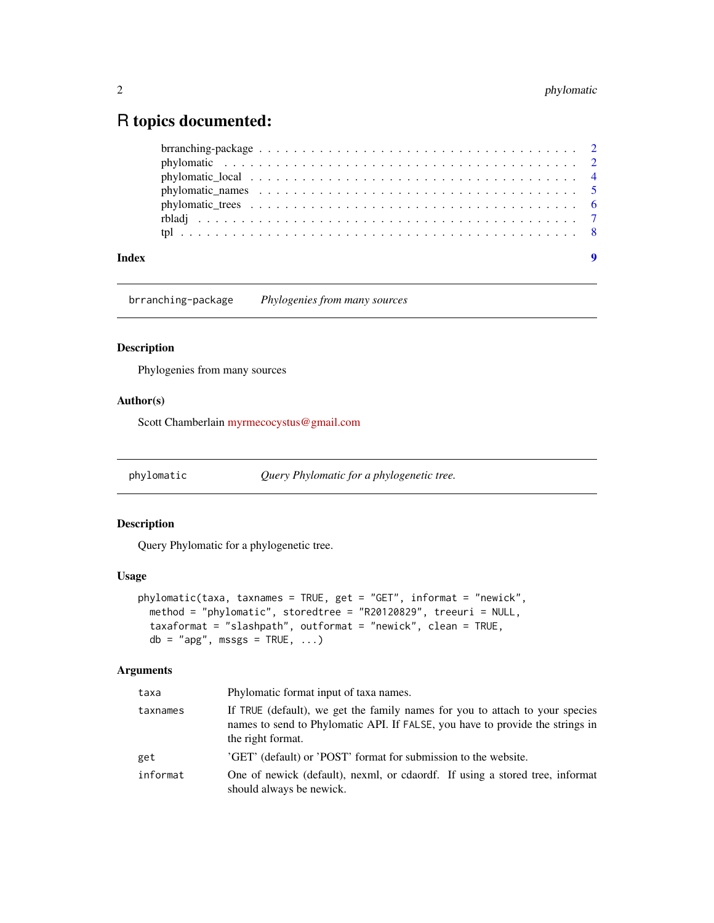### <span id="page-1-0"></span>R topics documented:

| Index |  |  |
|-------|--|--|
|       |  |  |
|       |  |  |
|       |  |  |
|       |  |  |
|       |  |  |
|       |  |  |
|       |  |  |

brranching-package *Phylogenies from many sources*

#### Description

Phylogenies from many sources

#### Author(s)

Scott Chamberlain [myrmecocystus@gmail.com](mailto:myrmecocystus@gmail.com)

<span id="page-1-1"></span>phylomatic *Query Phylomatic for a phylogenetic tree.*

#### Description

Query Phylomatic for a phylogenetic tree.

#### Usage

```
phylomatic(taxa, taxnames = TRUE, get = "GET", informat = "newick",
 method = "phylomatic", storedtree = "R20120829", treeuri = NULL,
 taxaformat = "slashpath", outformat = "newick", clean = TRUE,
 db = "apg", msgs = TRUE, ...)
```
#### Arguments

| taxa     | Phylomatic format input of taxa names.                                                                                                                                             |
|----------|------------------------------------------------------------------------------------------------------------------------------------------------------------------------------------|
| taxnames | If TRUE (default), we get the family names for you to attach to your species<br>names to send to Phylomatic API. If FALSE, you have to provide the strings in<br>the right format. |
| get      | 'GET' (default) or 'POST' format for submission to the website.                                                                                                                    |
| informat | One of newick (default), nexml, or cdaordf. If using a stored tree, informat<br>should always be newick.                                                                           |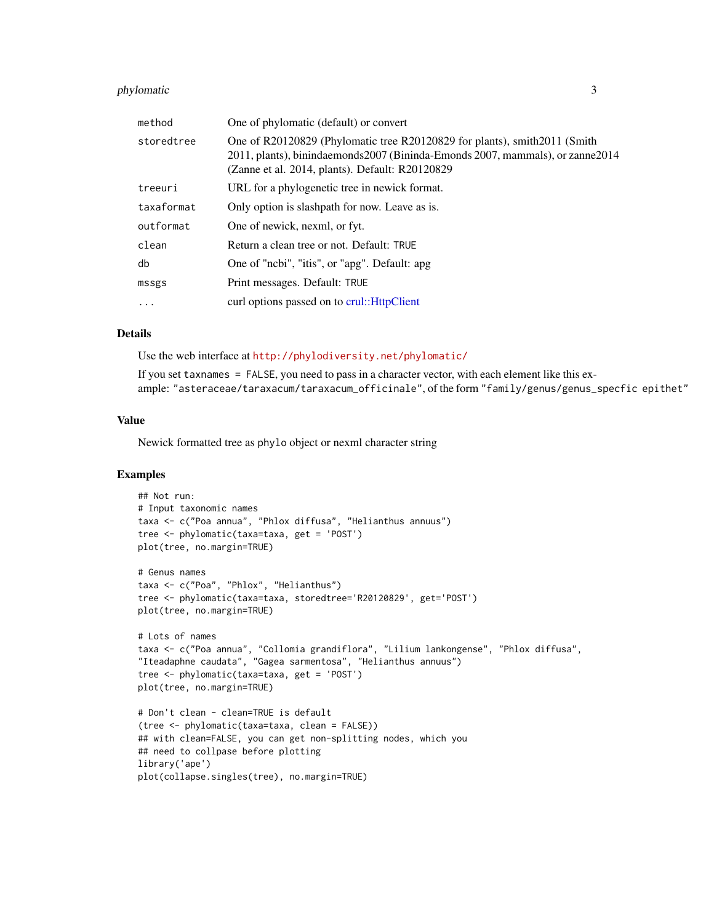#### <span id="page-2-0"></span>phylomatic 3

| method     | One of phylomatic (default) or convert                                                                                                                                                                           |
|------------|------------------------------------------------------------------------------------------------------------------------------------------------------------------------------------------------------------------|
| storedtree | One of R20120829 (Phylomatic tree R20120829 for plants), smith 2011 (Smith<br>2011, plants), binindaemonds 2007 (Bininda-Emonds 2007, mammals), or zanne 2014<br>(Zanne et al. 2014, plants). Default: R20120829 |
| treeuri    | URL for a phylogenetic tree in newick format.                                                                                                                                                                    |
| taxaformat | Only option is slashpath for now. Leave as is.                                                                                                                                                                   |
| outformat  | One of newick, nexml, or fyt.                                                                                                                                                                                    |
| clean      | Return a clean tree or not. Default: TRUE                                                                                                                                                                        |
| db         | One of "ncbi", "itis", or "apg". Default: apg.                                                                                                                                                                   |
| mssgs      | Print messages. Default: TRUE                                                                                                                                                                                    |
| $\cdot$    | curl options passed on to crul:: HttpClient                                                                                                                                                                      |

#### Details

Use the web interface at <http://phylodiversity.net/phylomatic/>

If you set taxnames = FALSE, you need to pass in a character vector, with each element like this example: "asteraceae/taraxacum/taraxacum\_officinale", of the form "family/genus/genus\_specfic epithet"

#### Value

Newick formatted tree as phylo object or nexml character string

#### Examples

```
## Not run:
# Input taxonomic names
taxa <- c("Poa annua", "Phlox diffusa", "Helianthus annuus")
tree <- phylomatic(taxa=taxa, get = 'POST')
plot(tree, no.margin=TRUE)
# Genus names
taxa <- c("Poa", "Phlox", "Helianthus")
tree <- phylomatic(taxa=taxa, storedtree='R20120829', get='POST')
plot(tree, no.margin=TRUE)
# Lots of names
taxa <- c("Poa annua", "Collomia grandiflora", "Lilium lankongense", "Phlox diffusa",
"Iteadaphne caudata", "Gagea sarmentosa", "Helianthus annuus")
tree <- phylomatic(taxa=taxa, get = 'POST')
plot(tree, no.margin=TRUE)
# Don't clean - clean=TRUE is default
(tree <- phylomatic(taxa=taxa, clean = FALSE))
## with clean=FALSE, you can get non-splitting nodes, which you
## need to collpase before plotting
library('ape')
plot(collapse.singles(tree), no.margin=TRUE)
```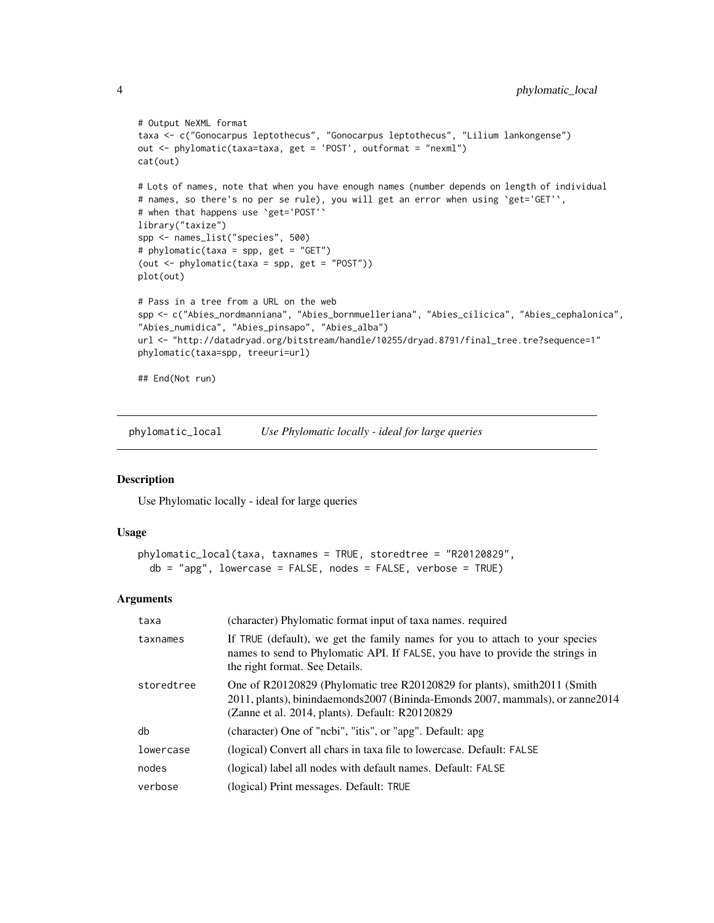```
# Output NeXML format
taxa <- c("Gonocarpus leptothecus", "Gonocarpus leptothecus", "Lilium lankongense")
out <- phylomatic(taxa=taxa, get = 'POST', outformat = "nexml")
cat(out)
# Lots of names, note that when you have enough names (number depends on length of individual
# names, so there's no per se rule), you will get an error when using `get='GET'`,
# when that happens use `get='POST'`
library("taxize")
spp <- names_list("species", 500)
# phylomatic(taxa = spp, get = "GET")
(out <- phylomatic(taxa = spp, get = "POST"))
plot(out)
# Pass in a tree from a URL on the web
spp <- c("Abies_nordmanniana", "Abies_bornmuelleriana", "Abies_cilicica", "Abies_cephalonica",
"Abies_numidica", "Abies_pinsapo", "Abies_alba")
url <- "http://datadryad.org/bitstream/handle/10255/dryad.8791/final_tree.tre?sequence=1"
phylomatic(taxa=spp, treeuri=url)
## End(Not run)
```
phylomatic\_local *Use Phylomatic locally - ideal for large queries*

#### Description

Use Phylomatic locally - ideal for large queries

#### Usage

```
phylomatic_local(taxa, taxnames = TRUE, storedtree = "R20120829",
 db = "agg", \text{ lowercase} = FALSE, \text{nodes} = FALSE, \text{verbs}
```
#### Arguments

| taxa       | (character) Phylomatic format input of taxa names. required                                                                                                                                                    |
|------------|----------------------------------------------------------------------------------------------------------------------------------------------------------------------------------------------------------------|
| taxnames   | If TRUE (default), we get the family names for you to attach to your species<br>names to send to Phylomatic API. If FALSE, you have to provide the strings in<br>the right format. See Details.                |
| storedtree | One of R20120829 (Phylomatic tree R20120829 for plants), smith 2011 (Smith<br>2011, plants), binindaemonds2007 (Bininda-Emonds 2007, mammals), or zanne2014<br>(Zanne et al. 2014, plants). Default: R20120829 |
| db         | (character) One of "ncbi", "itis", or "apg". Default: apg                                                                                                                                                      |
| lowercase  | (logical) Convert all chars in taxa file to lowercase. Default: FALSE                                                                                                                                          |
| nodes      | (logical) label all nodes with default names. Default: FALSE                                                                                                                                                   |
| verbose    | (logical) Print messages. Default: TRUE                                                                                                                                                                        |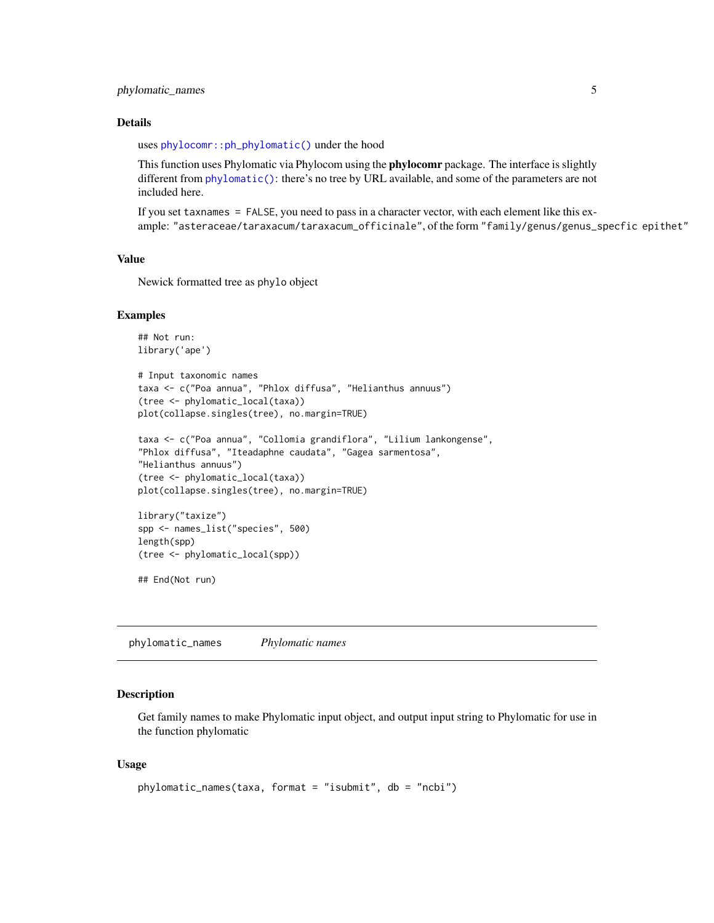#### <span id="page-4-0"></span>phylomatic\_names 5

#### Details

uses [phylocomr::ph\\_phylomatic\(\)](#page-0-0) under the hood

This function uses Phylomatic via Phylocom using the **phylocomr** package. The interface is slightly different from [phylomatic\(\)](#page-1-1): there's no tree by URL available, and some of the parameters are not included here.

If you set taxnames = FALSE, you need to pass in a character vector, with each element like this example: "asteraceae/taraxacum/taraxacum\_officinale", of the form "family/genus/genus\_specfic epithet"

#### Value

Newick formatted tree as phylo object

#### Examples

```
## Not run:
library('ape')
# Input taxonomic names
taxa <- c("Poa annua", "Phlox diffusa", "Helianthus annuus")
(tree <- phylomatic_local(taxa))
plot(collapse.singles(tree), no.margin=TRUE)
taxa <- c("Poa annua", "Collomia grandiflora", "Lilium lankongense",
```

```
"Phlox diffusa", "Iteadaphne caudata", "Gagea sarmentosa",
"Helianthus annuus")
(tree <- phylomatic_local(taxa))
plot(collapse.singles(tree), no.margin=TRUE)
```

```
library("taxize")
spp <- names_list("species", 500)
length(spp)
(tree <- phylomatic_local(spp))
```
## End(Not run)

<span id="page-4-1"></span>phylomatic\_names *Phylomatic names*

#### **Description**

Get family names to make Phylomatic input object, and output input string to Phylomatic for use in the function phylomatic

#### Usage

```
phylomatic_names(taxa, format = "isubmit", db = "ncbi")
```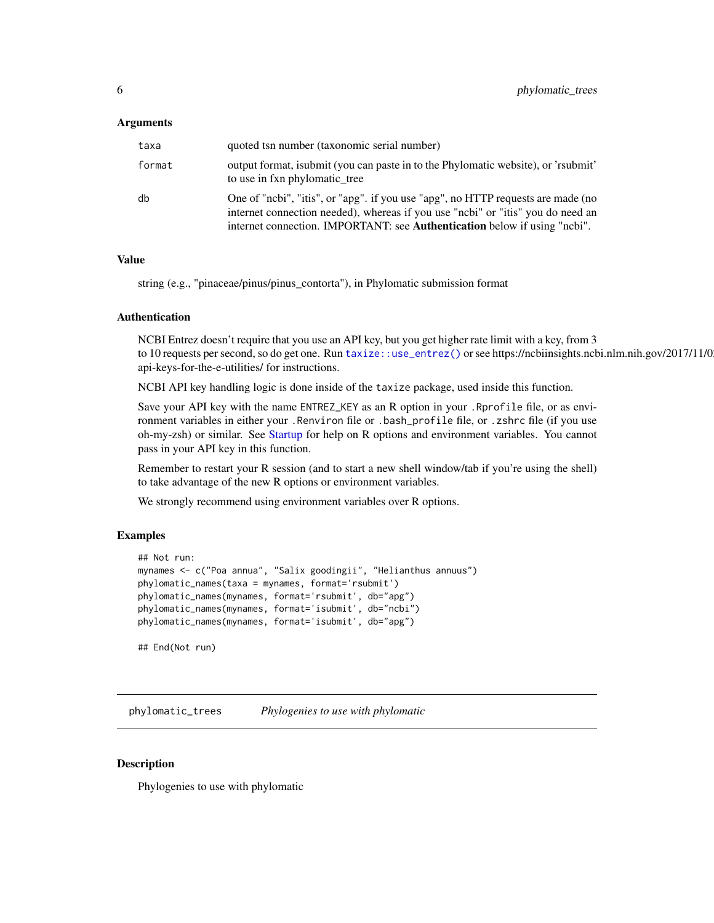#### <span id="page-5-0"></span>Arguments

| taxa   | quoted tsn number (taxonomic serial number)                                                                                                                                                                                                      |
|--------|--------------------------------------------------------------------------------------------------------------------------------------------------------------------------------------------------------------------------------------------------|
| format | output format, isubmit (you can paste in to the Phylomatic website), or 'rsubmit'<br>to use in fxn phylomatic_tree                                                                                                                               |
| db     | One of "ncbi", "itis", or "apg". if you use "apg", no HTTP requests are made (no<br>internet connection needed), whereas if you use "ncbi" or "itis" you do need an<br>internet connection. IMPORTANT: see Authentication below if using "ncbi". |

#### Value

string (e.g., "pinaceae/pinus/pinus\_contorta"), in Phylomatic submission format

#### Authentication

NCBI Entrez doesn't require that you use an API key, but you get higher rate limit with a key, from 3 to 10 requests per second, so do get one. Run taxize: :use\_entrez() or see https://ncbiinsights.ncbi.nlm.nih.gov/2017/11/0 api-keys-for-the-e-utilities/ for instructions.

NCBI API key handling logic is done inside of the taxize package, used inside this function.

Save your API key with the name ENTREZ\_KEY as an R option in your .Rprofile file, or as environment variables in either your .Renviron file or .bash\_profile file, or .zshrc file (if you use oh-my-zsh) or similar. See [Startup](#page-0-0) for help on R options and environment variables. You cannot pass in your API key in this function.

Remember to restart your R session (and to start a new shell window/tab if you're using the shell) to take advantage of the new R options or environment variables.

We strongly recommend using environment variables over R options.

#### Examples

```
## Not run:
mynames <- c("Poa annua", "Salix goodingii", "Helianthus annuus")
phylomatic_names(taxa = mynames, format='rsubmit')
phylomatic_names(mynames, format='rsubmit', db="apg")
phylomatic_names(mynames, format='isubmit', db="ncbi")
phylomatic_names(mynames, format='isubmit', db="apg")
## End(Not run)
```
phylomatic\_trees *Phylogenies to use with phylomatic*

#### Description

Phylogenies to use with phylomatic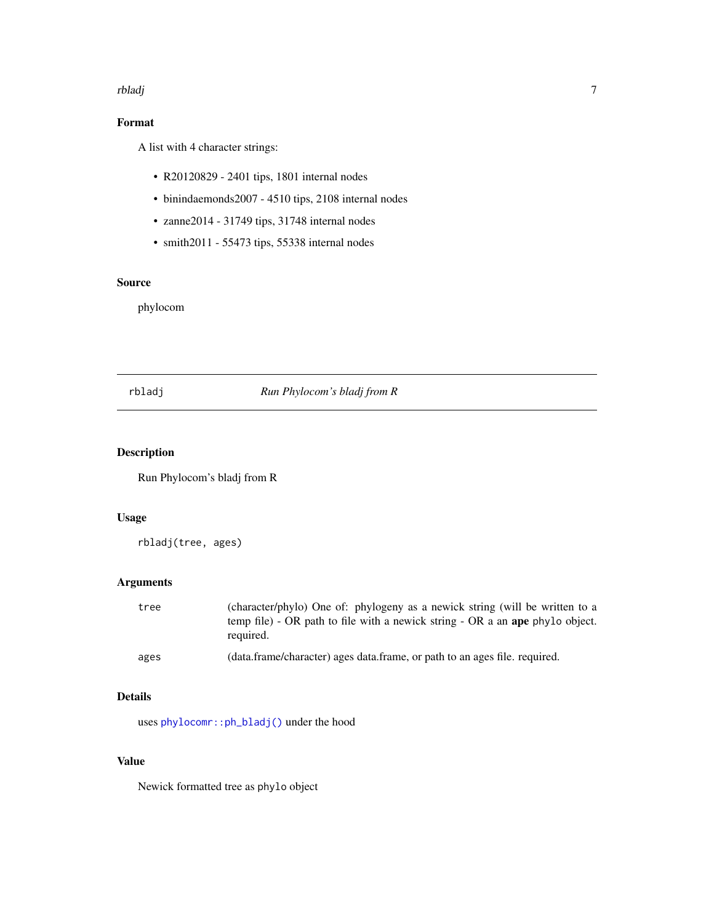#### <span id="page-6-0"></span>rbladj *z* 1999. godine 1999. godine 1999. godine 1999. godine 1999. godine 1999. godine 1999. godine 1999. godine 1999. godine 1999. godine 1999. godine 1999. godine 1999. godine 1999. godine 1999. godine 1999. godine 199

#### Format

A list with 4 character strings:

- R20120829 2401 tips, 1801 internal nodes
- binindaemonds2007 4510 tips, 2108 internal nodes
- zanne2014 31749 tips, 31748 internal nodes
- smith2011 55473 tips, 55338 internal nodes

#### Source

phylocom

#### rbladj *Run Phylocom's bladj from R*

#### Description

Run Phylocom's bladj from R

#### Usage

rbladj(tree, ages)

#### Arguments

| tree | (character/phylo) One of: phylogeny as a newick string (will be written to a<br>temp file) - OR path to file with a newick string - OR a an ape phylo object.<br>required. |
|------|----------------------------------------------------------------------------------------------------------------------------------------------------------------------------|
| ages | (data.frame/character) ages data.frame, or path to an ages file. required.                                                                                                 |

#### Details

uses [phylocomr::ph\\_bladj\(\)](#page-0-0) under the hood

#### Value

Newick formatted tree as phylo object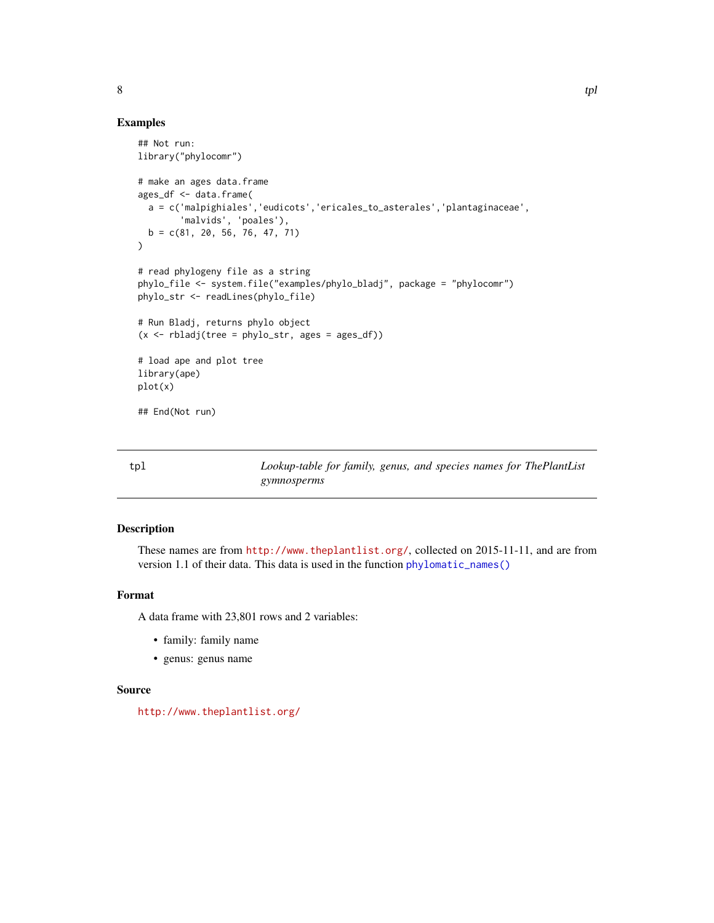#### Examples

```
## Not run:
library("phylocomr")
# make an ages data.frame
ages_df <- data.frame(
  a = c('malpighiales','eudicots','ericales_to_asterales','plantaginaceae',
        'malvids', 'poales'),
  b = c(81, 20, 56, 76, 47, 71))
# read phylogeny file as a string
phylo_file <- system.file("examples/phylo_bladj", package = "phylocomr")
phylo_str <- readLines(phylo_file)
# Run Bladj, returns phylo object
(x \le r bladj(tree = phylo_str, ages = ages_df))
# load ape and plot tree
library(ape)
plot(x)
## End(Not run)
```
tpl *Lookup-table for family, genus, and species names for ThePlantList gymnosperms*

#### Description

These names are from <http://www.theplantlist.org/>, collected on 2015-11-11, and are from version 1.1 of their data. This data is used in the function [phylomatic\\_names\(\)](#page-4-1)

#### Format

A data frame with 23,801 rows and 2 variables:

- family: family name
- genus: genus name

#### Source

<http://www.theplantlist.org/>

<span id="page-7-0"></span> $8$  tpl  $4$  tpl  $3$  tpl  $4$  tpl  $3$  tpl  $4$  tpl  $3$  tpl  $4$  tpl  $4$  tpl  $4$  tpl  $4$  tpl  $4$  tpl  $4$  tpl  $4$  tpl  $4$  tpl  $4$  tpl  $4$  tpl  $4$  tpl  $4$  tpl  $4$  tpl  $4$  tpl  $4$  tpl  $4$  tpl  $4$  tpl  $4$  tpl  $4$  tpl  $4$  tpl  $4$  t